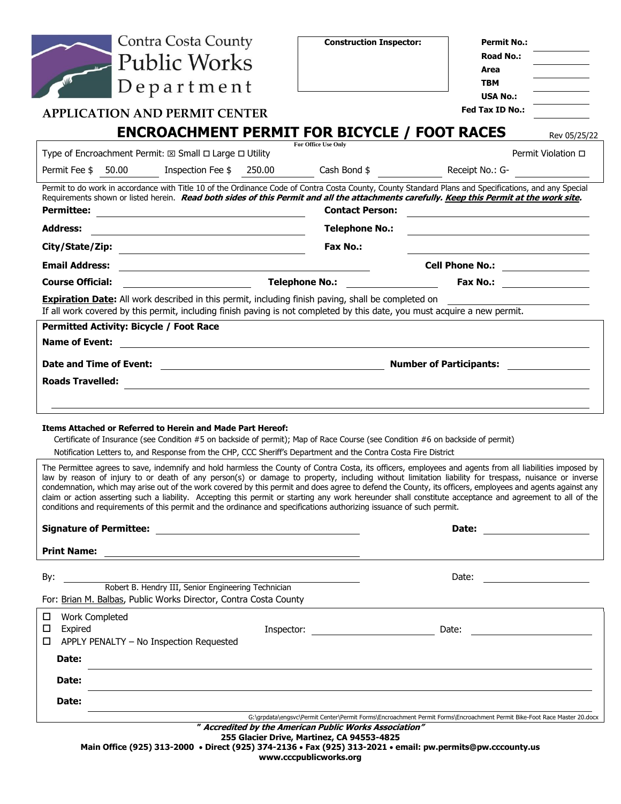|                            | <b>Contra Costa County</b>                                                                                                                                                                                                                                                                                                                                                                                                                                                                                                                                                                                                                                                                                                                                       | <b>Construction Inspector:</b>                                                   | <b>Permit No.:</b>                                                                                                       |
|----------------------------|------------------------------------------------------------------------------------------------------------------------------------------------------------------------------------------------------------------------------------------------------------------------------------------------------------------------------------------------------------------------------------------------------------------------------------------------------------------------------------------------------------------------------------------------------------------------------------------------------------------------------------------------------------------------------------------------------------------------------------------------------------------|----------------------------------------------------------------------------------|--------------------------------------------------------------------------------------------------------------------------|
|                            | <b>Public Works</b>                                                                                                                                                                                                                                                                                                                                                                                                                                                                                                                                                                                                                                                                                                                                              |                                                                                  | <b>Road No.:</b>                                                                                                         |
|                            |                                                                                                                                                                                                                                                                                                                                                                                                                                                                                                                                                                                                                                                                                                                                                                  |                                                                                  | Area                                                                                                                     |
|                            | Department                                                                                                                                                                                                                                                                                                                                                                                                                                                                                                                                                                                                                                                                                                                                                       |                                                                                  | <b>TBM</b>                                                                                                               |
|                            |                                                                                                                                                                                                                                                                                                                                                                                                                                                                                                                                                                                                                                                                                                                                                                  |                                                                                  | <b>USA No.:</b><br>Fed Tax ID No.:                                                                                       |
|                            | <b>APPLICATION AND PERMIT CENTER</b>                                                                                                                                                                                                                                                                                                                                                                                                                                                                                                                                                                                                                                                                                                                             |                                                                                  |                                                                                                                          |
|                            | <b>ENCROACHMENT PERMIT FOR BICYCLE / FOOT RACES</b>                                                                                                                                                                                                                                                                                                                                                                                                                                                                                                                                                                                                                                                                                                              | <b>For Office Use Only</b>                                                       | Rev 05/25/22                                                                                                             |
|                            | Type of Encroachment Permit: $\boxtimes$ Small $\Box$ Large $\Box$ Utility                                                                                                                                                                                                                                                                                                                                                                                                                                                                                                                                                                                                                                                                                       |                                                                                  | Permit Violation □                                                                                                       |
| Permit Fee \$ 50.00        | Inspection Fee \$250.00                                                                                                                                                                                                                                                                                                                                                                                                                                                                                                                                                                                                                                                                                                                                          | Cash Bond \$ Receipt No.: G-                                                     |                                                                                                                          |
| <b>Permittee:</b>          | Permit to do work in accordance with Title 10 of the Ordinance Code of Contra Costa County, County Standard Plans and Specifications, and any Special<br>Requirements shown or listed herein. Read both sides of this Permit and all the attachments carefully. Keep this Permit at the work site.<br><u> 1989 - Johann Barbara, martxa alemaniar amerikan a</u>                                                                                                                                                                                                                                                                                                                                                                                                 | <b>Contact Person:</b>                                                           |                                                                                                                          |
| <b>Address:</b>            | <u> 1989 - Johann Stoff, fransk politik (d. 1989)</u>                                                                                                                                                                                                                                                                                                                                                                                                                                                                                                                                                                                                                                                                                                            | <b>Telephone No.:</b>                                                            |                                                                                                                          |
|                            |                                                                                                                                                                                                                                                                                                                                                                                                                                                                                                                                                                                                                                                                                                                                                                  | Fax No.:                                                                         |                                                                                                                          |
| <b>Email Address:</b>      |                                                                                                                                                                                                                                                                                                                                                                                                                                                                                                                                                                                                                                                                                                                                                                  |                                                                                  | Cell Phone No.: _________________                                                                                        |
| <b>Course Official:</b>    |                                                                                                                                                                                                                                                                                                                                                                                                                                                                                                                                                                                                                                                                                                                                                                  | Telephone No.: ___________________                                               | Fax No.: 2000 2000 2012                                                                                                  |
|                            | <b>Expiration Date:</b> All work described in this permit, including finish paving, shall be completed on<br>If all work covered by this permit, including finish paving is not completed by this date, you must acquire a new permit.                                                                                                                                                                                                                                                                                                                                                                                                                                                                                                                           |                                                                                  |                                                                                                                          |
|                            | Permitted Activity: Bicycle / Foot Race                                                                                                                                                                                                                                                                                                                                                                                                                                                                                                                                                                                                                                                                                                                          |                                                                                  |                                                                                                                          |
| <b>Name of Event:</b>      | <u> 1989 - Andrea Andrew Maria (h. 1989).</u>                                                                                                                                                                                                                                                                                                                                                                                                                                                                                                                                                                                                                                                                                                                    |                                                                                  |                                                                                                                          |
|                            |                                                                                                                                                                                                                                                                                                                                                                                                                                                                                                                                                                                                                                                                                                                                                                  |                                                                                  |                                                                                                                          |
|                            |                                                                                                                                                                                                                                                                                                                                                                                                                                                                                                                                                                                                                                                                                                                                                                  |                                                                                  |                                                                                                                          |
| <b>Roads Travelled:</b>    |                                                                                                                                                                                                                                                                                                                                                                                                                                                                                                                                                                                                                                                                                                                                                                  |                                                                                  |                                                                                                                          |
|                            |                                                                                                                                                                                                                                                                                                                                                                                                                                                                                                                                                                                                                                                                                                                                                                  | <u> 1989 - John Stein, Amerikaansk politiker (* 1989)</u>                        |                                                                                                                          |
|                            | Items Attached or Referred to Herein and Made Part Hereof:<br>Certificate of Insurance (see Condition #5 on backside of permit); Map of Race Course (see Condition #6 on backside of permit)                                                                                                                                                                                                                                                                                                                                                                                                                                                                                                                                                                     |                                                                                  |                                                                                                                          |
|                            | Notification Letters to, and Response from the CHP, CCC Sheriff's Department and the Contra Costa Fire District                                                                                                                                                                                                                                                                                                                                                                                                                                                                                                                                                                                                                                                  |                                                                                  |                                                                                                                          |
|                            | The Permittee agrees to save, indemnify and hold harmless the County of Contra Costa, its officers, employees and agents from all liabilities imposed by<br>law by reason of injury to or death of any person(s) or damage to property, including without limitation liability for trespass, nuisance or inverse<br>condemnation, which may arise out of the work covered by this permit and does agree to defend the County, its officers, employees and agents against any<br>claim or action asserting such a liability. Accepting this permit or starting any work hereunder shall constitute acceptance and agreement to all of the<br>conditions and requirements of this permit and the ordinance and specifications authorizing issuance of such permit. |                                                                                  |                                                                                                                          |
|                            |                                                                                                                                                                                                                                                                                                                                                                                                                                                                                                                                                                                                                                                                                                                                                                  |                                                                                  | Date: ________________________                                                                                           |
|                            |                                                                                                                                                                                                                                                                                                                                                                                                                                                                                                                                                                                                                                                                                                                                                                  |                                                                                  |                                                                                                                          |
|                            |                                                                                                                                                                                                                                                                                                                                                                                                                                                                                                                                                                                                                                                                                                                                                                  |                                                                                  |                                                                                                                          |
| By:                        | Robert B. Hendry III, Senior Engineering Technician                                                                                                                                                                                                                                                                                                                                                                                                                                                                                                                                                                                                                                                                                                              |                                                                                  |                                                                                                                          |
|                            | For: Brian M. Balbas, Public Works Director, Contra Costa County                                                                                                                                                                                                                                                                                                                                                                                                                                                                                                                                                                                                                                                                                                 |                                                                                  |                                                                                                                          |
| 口<br><b>Work Completed</b> |                                                                                                                                                                                                                                                                                                                                                                                                                                                                                                                                                                                                                                                                                                                                                                  |                                                                                  |                                                                                                                          |
| □<br>Expired               |                                                                                                                                                                                                                                                                                                                                                                                                                                                                                                                                                                                                                                                                                                                                                                  |                                                                                  |                                                                                                                          |
| $\Box$                     | APPLY PENALTY - No Inspection Requested                                                                                                                                                                                                                                                                                                                                                                                                                                                                                                                                                                                                                                                                                                                          |                                                                                  |                                                                                                                          |
| Date:                      |                                                                                                                                                                                                                                                                                                                                                                                                                                                                                                                                                                                                                                                                                                                                                                  | ,我们也不会有什么。""我们的人,我们也不会有什么?""我们的人,我们也不会有什么?""我们的人,我们也不会有什么?""我们的人,我们也不会有什么?""我们的人 |                                                                                                                          |
| <b>Date:</b>               |                                                                                                                                                                                                                                                                                                                                                                                                                                                                                                                                                                                                                                                                                                                                                                  |                                                                                  |                                                                                                                          |
| Date:                      |                                                                                                                                                                                                                                                                                                                                                                                                                                                                                                                                                                                                                                                                                                                                                                  |                                                                                  | G:\grpdata\engsvc\Permit Center\Permit Forms\Encroachment Permit Forms\Encroachment Permit Bike-Foot Race Master 20.docx |

**Main Office (925) 313-2000** • **Direct (925) 374-2136** • **Fax (925) 313-2021** • **email: pw.permits@pw.cccounty.us www.cccpublicworks.org**